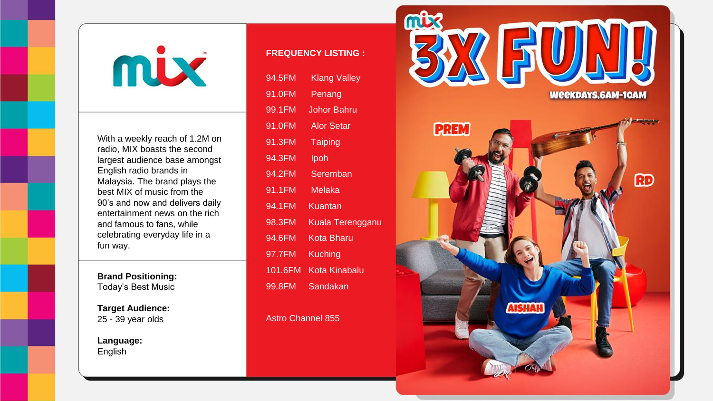

With a weekly reach of 1.2M on radio, MIX boasts the second largest audience base amongst English radio brands in Malaysia. The brand plays the best MIX of music from the 90's and now and delivers daily entertainment news on the rich and famous to fans, while celebrating everyday life in a fun way.

**Brand Positioning:** Today's Best Music

**Target Audience:** 25 - 39 year olds

**Language:** English

## **FREQUENCY LISTING :**

| 94.5FM  | <b>Klang Valley</b> |
|---------|---------------------|
| 91.0FM  | Penang              |
| 99.1FM  | Johor Bahru         |
| 91.0FM  | <b>Alor Setar</b>   |
| 91.3FM  | <b>Taiping</b>      |
| 94.3FM  | lpoh                |
| 94.2FM  | Seremban            |
| 91.1FM  | Melaka              |
| 94.1FM  | Kuantan             |
| 98.3FM  | Kuala Terengganu    |
| 94.6FM  | Kota Bharu          |
| 97.7FM  | Kuching             |
| 101.6FM | Kota Kinabalu       |
| 99.8FM  | Sandakan            |

Astro Channel 855

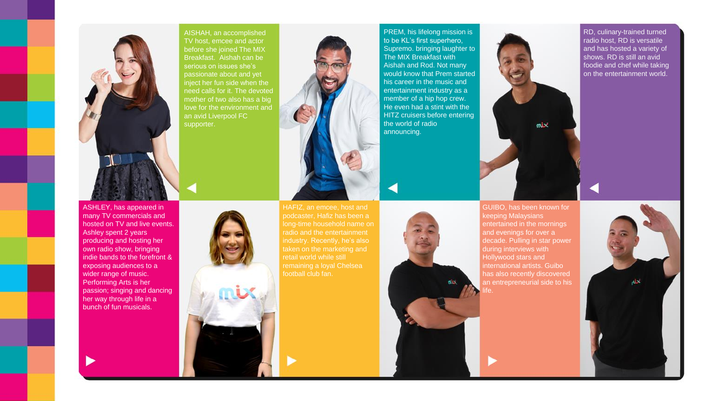





podcaster, Hafiz has been a retail world while still football club fan.

PREM, his lifelong mission is to be KL's first superhero, Supremo. bringing laughter to The MIX Breakfast with Aishah and Rod. Not many would know that Prem started his career in the music and entertainment industry as a member of a hip hop crew. He even had a stint with the HITZ cruisers before entering the world of radio announcing.

mix

GUIBO, has been known for keeping Malaysians entertained in the mornings and evenings for over a decade. Pulling in star power during interviews with Hollywood stars and international artists. Guibo has also recently discovered an entrepreneurial side to his RD, culinary-trained turned radio host, RD is versatile and has hosted a variety of shows. RD is still an avid foodie and chef while taking on the entertainment world.



ASHLEY, has appeared in many TV commercials and hosted on TV and live events. Ashley spent 2 years producing and hosting her own radio show, bringing indie bands to the forefront & exposing audiences to a wider range of music. Performing Arts is her passion; singing and dancing her way through life in a bunch of fun musicals.